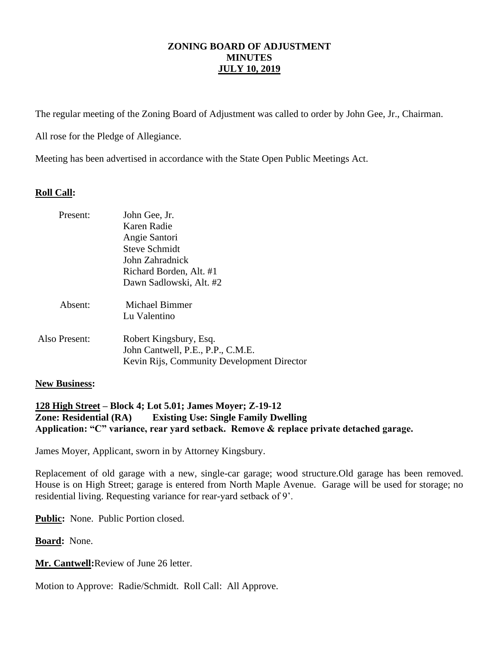# **ZONING BOARD OF ADJUSTMENT MINUTES JULY 10, 2019**

The regular meeting of the Zoning Board of Adjustment was called to order by John Gee, Jr., Chairman.

All rose for the Pledge of Allegiance.

Meeting has been advertised in accordance with the State Open Public Meetings Act.

# **Roll Call:**

| Present:      | John Gee, Jr.<br>Karen Radie<br>Angie Santori<br><b>Steve Schmidt</b><br>John Zahradnick<br>Richard Borden, Alt. #1<br>Dawn Sadlowski, Alt. #2 |
|---------------|------------------------------------------------------------------------------------------------------------------------------------------------|
| Absent:       | Michael Bimmer<br>Lu Valentino                                                                                                                 |
| Also Present: | Robert Kingsbury, Esq.<br>John Cantwell, P.E., P.P., C.M.E.<br>Kevin Rijs, Community Development Director                                      |

## **New Business:**

# **128 High Street – Block 4; Lot 5.01; James Moyer; Z-19-12 Zone: Residential (RA) Existing Use: Single Family Dwelling Application: "C" variance, rear yard setback. Remove & replace private detached garage.**

James Moyer, Applicant, sworn in by Attorney Kingsbury.

Replacement of old garage with a new, single-car garage; wood structure.Old garage has been removed. House is on High Street; garage is entered from North Maple Avenue. Garage will be used for storage; no residential living. Requesting variance for rear-yard setback of 9'.

**Public:** None. Public Portion closed.

**Board:** None.

**Mr. Cantwell:**Review of June 26 letter.

Motion to Approve: Radie/Schmidt. Roll Call: All Approve.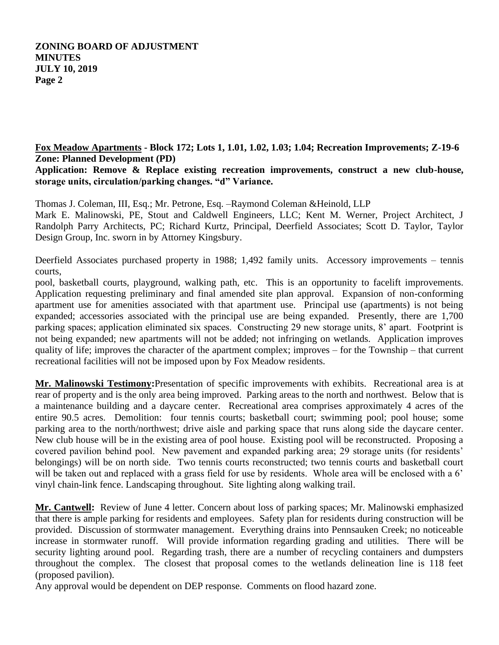# **ZONING BOARD OF ADJUSTMENT MINUTES JULY 10, 2019 Page 2**

**Fox Meadow Apartments - Block 172; Lots 1, 1.01, 1.02, 1.03; 1.04; Recreation Improvements; Z-19-6 Zone: Planned Development (PD)**

**Application: Remove & Replace existing recreation improvements, construct a new club-house, storage units, circulation/parking changes. "d" Variance.**

Thomas J. Coleman, III, Esq.; Mr. Petrone, Esq. –Raymond Coleman &Heinold, LLP Mark E. Malinowski, PE, Stout and Caldwell Engineers, LLC; Kent M. Werner, Project Architect, J Randolph Parry Architects, PC; Richard Kurtz, Principal, Deerfield Associates; Scott D. Taylor, Taylor Design Group, Inc. sworn in by Attorney Kingsbury.

Deerfield Associates purchased property in 1988; 1,492 family units. Accessory improvements – tennis courts,

pool, basketball courts, playground, walking path, etc. This is an opportunity to facelift improvements. Application requesting preliminary and final amended site plan approval. Expansion of non-conforming apartment use for amenities associated with that apartment use. Principal use (apartments) is not being expanded; accessories associated with the principal use are being expanded. Presently, there are 1,700 parking spaces; application eliminated six spaces. Constructing 29 new storage units, 8' apart. Footprint is not being expanded; new apartments will not be added; not infringing on wetlands. Application improves quality of life; improves the character of the apartment complex; improves – for the Township – that current recreational facilities will not be imposed upon by Fox Meadow residents.

**Mr. Malinowski Testimony:**Presentation of specific improvements with exhibits. Recreational area is at rear of property and is the only area being improved. Parking areas to the north and northwest. Below that is a maintenance building and a daycare center. Recreational area comprises approximately 4 acres of the entire 90.5 acres. Demolition: four tennis courts; basketball court; swimming pool; pool house; some parking area to the north/northwest; drive aisle and parking space that runs along side the daycare center. New club house will be in the existing area of pool house. Existing pool will be reconstructed. Proposing a covered pavilion behind pool. New pavement and expanded parking area; 29 storage units (for residents' belongings) will be on north side. Two tennis courts reconstructed; two tennis courts and basketball court will be taken out and replaced with a grass field for use by residents. Whole area will be enclosed with a 6' vinyl chain-link fence. Landscaping throughout. Site lighting along walking trail.

**Mr. Cantwell:** Review of June 4 letter. Concern about loss of parking spaces; Mr. Malinowski emphasized that there is ample parking for residents and employees. Safety plan for residents during construction will be provided. Discussion of stormwater management. Everything drains into Pennsauken Creek; no noticeable increase in stormwater runoff. Will provide information regarding grading and utilities. There will be security lighting around pool. Regarding trash, there are a number of recycling containers and dumpsters throughout the complex. The closest that proposal comes to the wetlands delineation line is 118 feet (proposed pavilion).

Any approval would be dependent on DEP response. Comments on flood hazard zone.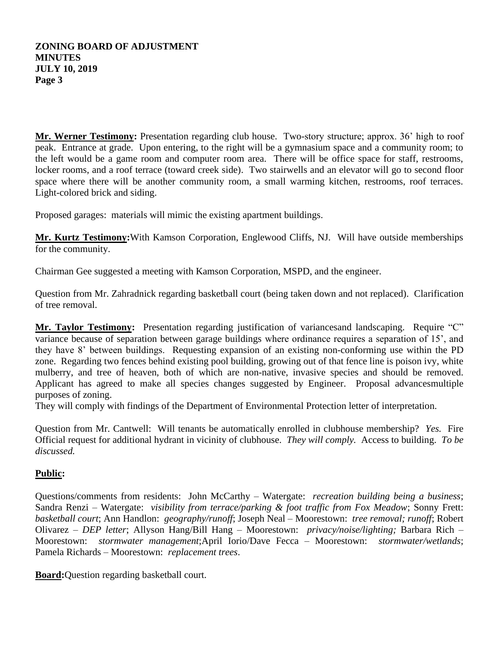## **ZONING BOARD OF ADJUSTMENT MINUTES JULY 10, 2019 Page 3**

**Mr. Werner Testimony:** Presentation regarding club house. Two-story structure; approx. 36' high to roof peak. Entrance at grade. Upon entering, to the right will be a gymnasium space and a community room; to the left would be a game room and computer room area. There will be office space for staff, restrooms, locker rooms, and a roof terrace (toward creek side). Two stairwells and an elevator will go to second floor space where there will be another community room, a small warming kitchen, restrooms, roof terraces. Light-colored brick and siding.

Proposed garages: materials will mimic the existing apartment buildings.

**Mr. Kurtz Testimony:**With Kamson Corporation, Englewood Cliffs, NJ. Will have outside memberships for the community.

Chairman Gee suggested a meeting with Kamson Corporation, MSPD, and the engineer.

Question from Mr. Zahradnick regarding basketball court (being taken down and not replaced). Clarification of tree removal.

**Mr. Taylor Testimony:** Presentation regarding justification of variancesand landscaping. Require "C" variance because of separation between garage buildings where ordinance requires a separation of 15', and they have 8' between buildings. Requesting expansion of an existing non-conforming use within the PD zone. Regarding two fences behind existing pool building, growing out of that fence line is poison ivy, white mulberry, and tree of heaven, both of which are non-native, invasive species and should be removed. Applicant has agreed to make all species changes suggested by Engineer. Proposal advancesmultiple purposes of zoning.

They will comply with findings of the Department of Environmental Protection letter of interpretation.

Question from Mr. Cantwell: Will tenants be automatically enrolled in clubhouse membership? *Yes.* Fire Official request for additional hydrant in vicinity of clubhouse. *They will comply.* Access to building. *To be discussed.*

# **Public:**

Questions/comments from residents: John McCarthy – Watergate: *recreation building being a business*; Sandra Renzi – Watergate: *visibility from terrace/parking & foot traffic from Fox Meadow*; Sonny Frett: *basketball court*; Ann Handlon: *geography/runoff*; Joseph Neal – Moorestown: *tree removal; runoff*; Robert Olivarez – *DEP letter*; Allyson Hang/Bill Hang – Moorestown: *privacy/noise/lighting;* Barbara Rich – Moorestown: *stormwater management*;April Iorio/Dave Fecca – Moorestown: *stormwater/wetlands*; Pamela Richards – Moorestown: *replacement trees*.

**Board:**Question regarding basketball court.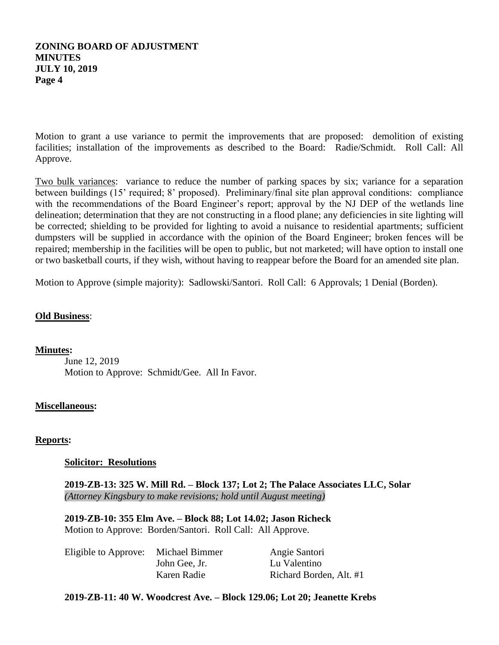## **ZONING BOARD OF ADJUSTMENT MINUTES JULY 10, 2019 Page 4**

Motion to grant a use variance to permit the improvements that are proposed: demolition of existing facilities; installation of the improvements as described to the Board: Radie/Schmidt. Roll Call: All Approve.

Two bulk variances: variance to reduce the number of parking spaces by six; variance for a separation between buildings (15' required; 8' proposed). Preliminary/final site plan approval conditions: compliance with the recommendations of the Board Engineer's report; approval by the NJ DEP of the wetlands line delineation; determination that they are not constructing in a flood plane; any deficiencies in site lighting will be corrected; shielding to be provided for lighting to avoid a nuisance to residential apartments; sufficient dumpsters will be supplied in accordance with the opinion of the Board Engineer; broken fences will be repaired; membership in the facilities will be open to public, but not marketed; will have option to install one or two basketball courts, if they wish, without having to reappear before the Board for an amended site plan.

Motion to Approve (simple majority): Sadlowski/Santori. Roll Call: 6 Approvals; 1 Denial (Borden).

## **Old Business**:

### **Minutes:**

June 12, 2019 Motion to Approve: Schmidt/Gee. All In Favor.

### **Miscellaneous:**

## **Reports:**

### **Solicitor: Resolutions**

**2019-ZB-13: 325 W. Mill Rd. – Block 137; Lot 2; The Palace Associates LLC, Solar** *(Attorney Kingsbury to make revisions; hold until August meeting)*

**2019-ZB-10: 355 Elm Ave. – Block 88; Lot 14.02; Jason Richeck** Motion to Approve: Borden/Santori. Roll Call: All Approve.

| Eligible to Approve: | Michael Bimmer | Angie Santori           |
|----------------------|----------------|-------------------------|
|                      | John Gee, Jr.  | Lu Valentino            |
|                      | Karen Radie    | Richard Borden, Alt. #1 |

### **2019-ZB-11: 40 W. Woodcrest Ave. – Block 129.06; Lot 20; Jeanette Krebs**